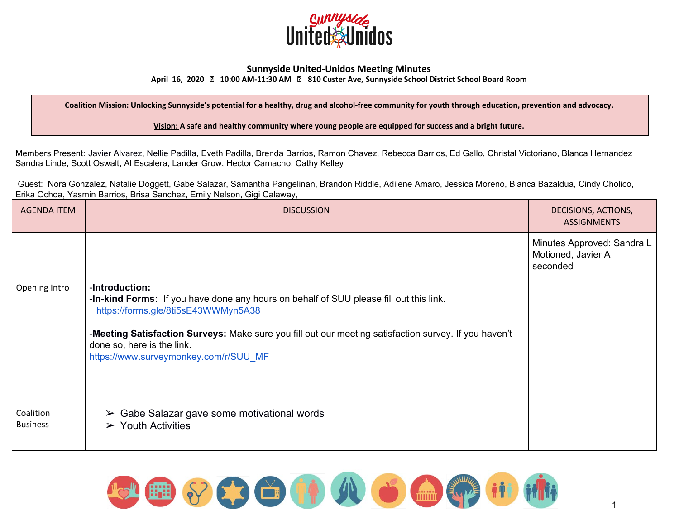

## **Sunnyside United-Unidos Meeting Minutes**

**April 16, 2020 10:00 AM-11:30 AM 810 Custer Ave, Sunnyside School District School Board Room**

Coalition Mission: Unlocking Sunnyside's potential for a healthy, drug and alcohol-free community for youth through education, prevention and advocacy.

**Vision: A safe and healthy community where young people are equipped for success and a bright future.**

Members Present: Javier Alvarez, Nellie Padilla, Eveth Padilla, Brenda Barrios, Ramon Chavez, Rebecca Barrios, Ed Gallo, Christal Victoriano, Blanca Hernandez Sandra Linde, Scott Oswalt, Al Escalera, Lander Grow, Hector Camacho, Cathy Kelley

Guest: Nora Gonzalez, Natalie Doggett, Gabe Salazar, Samantha Pangelinan, Brandon Riddle, Adilene Amaro, Jessica Moreno, Blanca Bazaldua, Cindy Cholico, Erika Ochoa, Yasmin Barrios, Brisa Sanchez, Emily Nelson, Gigi Calaway,

| <b>AGENDA ITEM</b>           | <b>DISCUSSION</b>                                                                                                                                                                                                                                                                                                               | DECISIONS, ACTIONS,<br><b>ASSIGNMENTS</b>                    |
|------------------------------|---------------------------------------------------------------------------------------------------------------------------------------------------------------------------------------------------------------------------------------------------------------------------------------------------------------------------------|--------------------------------------------------------------|
|                              |                                                                                                                                                                                                                                                                                                                                 | Minutes Approved: Sandra L<br>Motioned, Javier A<br>seconded |
| Opening Intro                | -Introduction:<br>-In-kind Forms: If you have done any hours on behalf of SUU please fill out this link.<br>https://forms.gle/8ti5sE43WWMyn5A38<br>-Meeting Satisfaction Surveys: Make sure you fill out our meeting satisfaction survey. If you haven't<br>done so, here is the link.<br>https://www.surveymonkey.com/r/SUU_MF |                                                              |
| Coalition<br><b>Business</b> | $\triangleright$ Gabe Salazar gave some motivational words<br>$\triangleright$ Youth Activities                                                                                                                                                                                                                                 |                                                              |

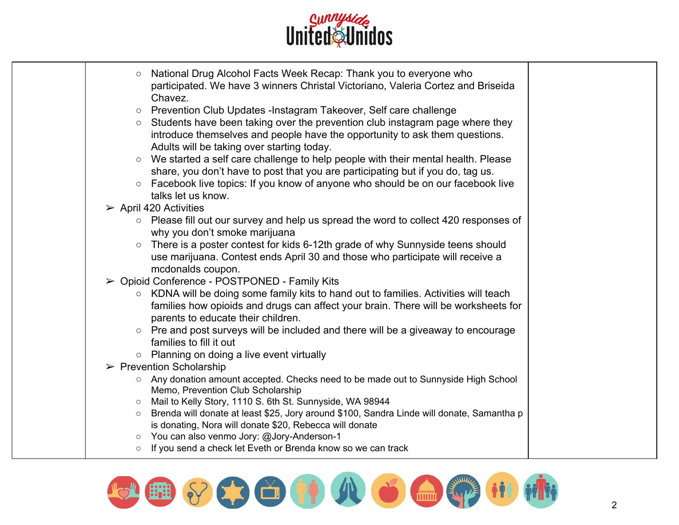

| National Drug Alcohol Facts Week Recap: Thank you to everyone who<br>$\circ$<br>participated. We have 3 winners Christal Victoriano, Valeria Cortez and Briseida<br>Chavez. |  |
|-----------------------------------------------------------------------------------------------------------------------------------------------------------------------------|--|
| Prevention Club Updates -Instagram Takeover, Self care challenge<br>$\circ$                                                                                                 |  |
| Students have been taking over the prevention club instagram page where they<br>$\circ$<br>introduce themselves and people have the opportunity to ask them questions.      |  |
| Adults will be taking over starting today.                                                                                                                                  |  |
| We started a self care challenge to help people with their mental health. Please                                                                                            |  |
| share, you don't have to post that you are participating but if you do, tag us.                                                                                             |  |
| ○ Facebook live topics: If you know of anyone who should be on our facebook live                                                                                            |  |
| talks let us know.                                                                                                                                                          |  |
| $\triangleright$ April 420 Activities                                                                                                                                       |  |
| ○ Please fill out our survey and help us spread the word to collect 420 responses of                                                                                        |  |
| why you don't smoke marijuana                                                                                                                                               |  |
| There is a poster contest for kids 6-12th grade of why Sunnyside teens should<br>use marijuana. Contest ends April 30 and those who participate will receive a              |  |
| mcdonalds coupon.                                                                                                                                                           |  |
| ► Opioid Conference - POSTPONED - Family Kits                                                                                                                               |  |
| ○ KDNA will be doing some family kits to hand out to families. Activities will teach                                                                                        |  |
| families how opioids and drugs can affect your brain. There will be worksheets for                                                                                          |  |
| parents to educate their children.                                                                                                                                          |  |
| ○ Pre and post surveys will be included and there will be a giveaway to encourage                                                                                           |  |
| families to fill it out                                                                                                                                                     |  |
| $\circ$ Planning on doing a live event virtually                                                                                                                            |  |
| $\triangleright$ Prevention Scholarship                                                                                                                                     |  |
| ○ Any donation amount accepted. Checks need to be made out to Sunnyside High School                                                                                         |  |
| Memo, Prevention Club Scholarship                                                                                                                                           |  |
| Mail to Kelly Story, 1110 S. 6th St. Sunnyside, WA 98944<br>$\circ$                                                                                                         |  |
| Brenda will donate at least \$25, Jory around \$100, Sandra Linde will donate, Samantha p<br>$\circ$                                                                        |  |
| is donating, Nora will donate \$20, Rebecca will donate                                                                                                                     |  |
| ○ You can also venmo Jory: @Jory-Anderson-1                                                                                                                                 |  |
| If you send a check let Eveth or Brenda know so we can track                                                                                                                |  |

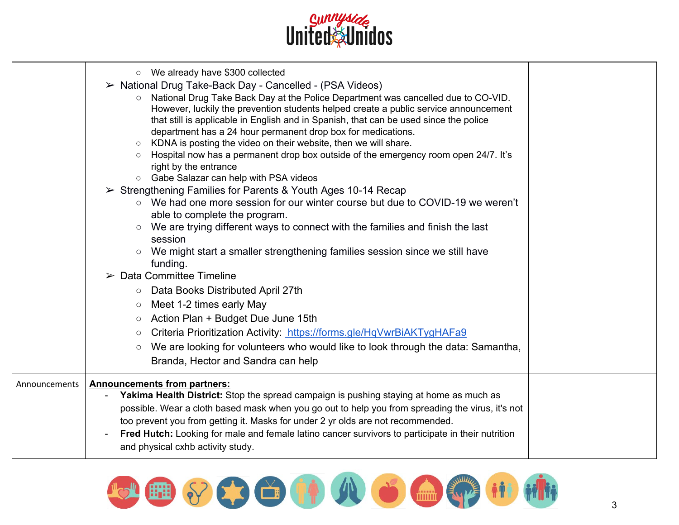

|               | O We already have \$300 collected<br>$\triangleright$ National Drug Take-Back Day - Cancelled - (PSA Videos)<br>○ National Drug Take Back Day at the Police Department was cancelled due to CO-VID.<br>However, luckily the prevention students helped create a public service announcement<br>that still is applicable in English and in Spanish, that can be used since the police<br>department has a 24 hour permanent drop box for medications.<br>KDNA is posting the video on their website, then we will share.<br>$\circ$<br>Hospital now has a permanent drop box outside of the emergency room open 24/7. It's<br>right by the entrance<br>○ Gabe Salazar can help with PSA videos<br>$\triangleright$ Strengthening Families for Parents & Youth Ages 10-14 Recap<br>$\circ$ We had one more session for our winter course but due to COVID-19 we weren't<br>able to complete the program.<br>We are trying different ways to connect with the families and finish the last<br>$\circ$<br>session<br>○ We might start a smaller strengthening families session since we still have<br>funding.<br>$\triangleright$ Data Committee Timeline<br>Data Books Distributed April 27th<br>$\circ$<br>Meet 1-2 times early May<br>$\circ$<br>Action Plan + Budget Due June 15th<br>$\circ$<br>Criteria Prioritization Activity: https://forms.gle/HqVwrBiAKTygHAFa9<br>$\bigcirc$<br>We are looking for volunteers who would like to look through the data: Samantha,<br>$\circ$<br>Branda, Hector and Sandra can help |  |
|---------------|----------------------------------------------------------------------------------------------------------------------------------------------------------------------------------------------------------------------------------------------------------------------------------------------------------------------------------------------------------------------------------------------------------------------------------------------------------------------------------------------------------------------------------------------------------------------------------------------------------------------------------------------------------------------------------------------------------------------------------------------------------------------------------------------------------------------------------------------------------------------------------------------------------------------------------------------------------------------------------------------------------------------------------------------------------------------------------------------------------------------------------------------------------------------------------------------------------------------------------------------------------------------------------------------------------------------------------------------------------------------------------------------------------------------------------------------------------------------------------------------------------------------------|--|
| Announcements | <b>Announcements from partners:</b><br>Yakima Health District: Stop the spread campaign is pushing staying at home as much as<br>$\blacksquare$<br>possible. Wear a cloth based mask when you go out to help you from spreading the virus, it's not<br>too prevent you from getting it. Masks for under 2 yr olds are not recommended.<br>Fred Hutch: Looking for male and female latino cancer survivors to participate in their nutrition<br>and physical cxhb activity study.                                                                                                                                                                                                                                                                                                                                                                                                                                                                                                                                                                                                                                                                                                                                                                                                                                                                                                                                                                                                                                           |  |